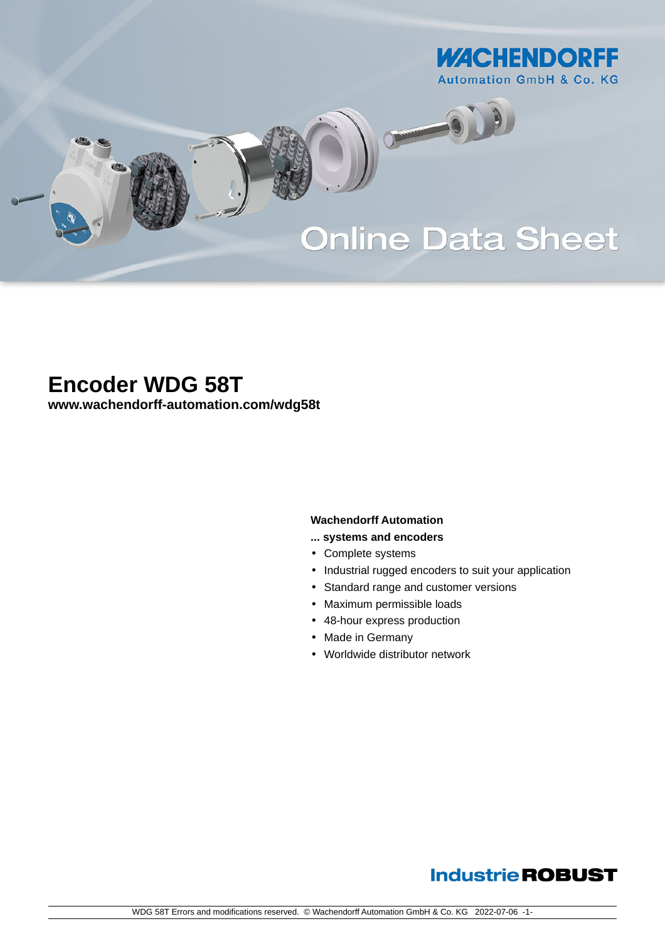

# **Online Data Sheet**

O

# **Encoder WDG 58T**

**[www.wachendorff-automation.com/wdg58t](https://www.wachendorff-automation.com/wdg58t)**

#### **Wachendorff Automation**

- **... systems and encoders**
- Complete systems
- Industrial rugged encoders to suit your application
- Standard range and customer versions
- Maximum permissible loads
- 48-hour express production
- Made in Germany
- Worldwide distributor network

## **Industrie ROBUST**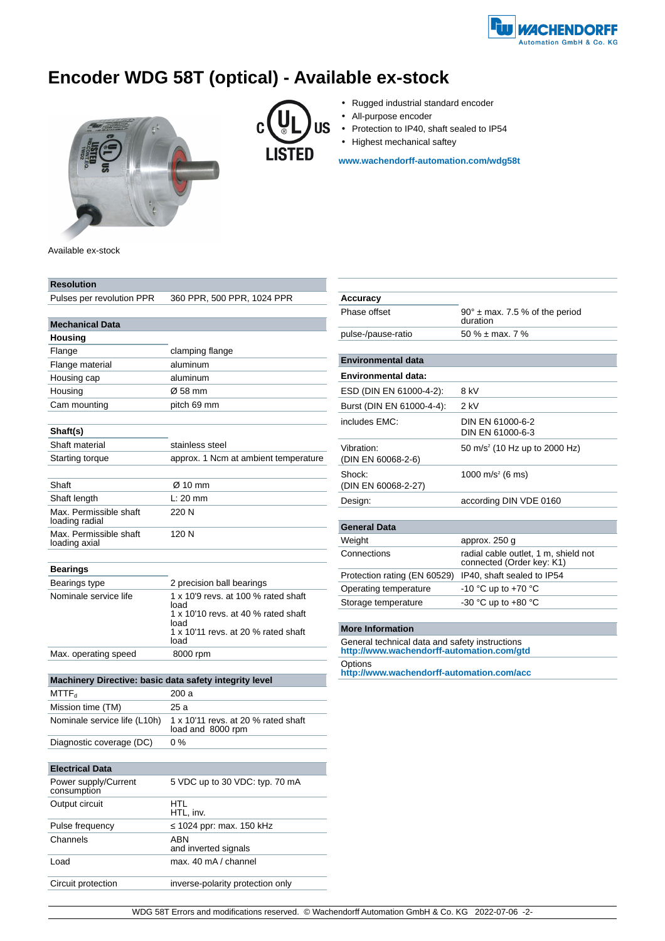

## **Encoder WDG 58T (optical) - Available ex-stock**



- **US** C **LISTED**
- Rugged industrial standard encoder
- All-purpose encoder
- Protection to IP40, shaft sealed to IP54
- Highest mechanical saftey

**[www.wachendorff-automation.com/wdg58t](https://www.wachendorff-automation.com/wdg58t)**

Available ex-stock

| Resolution                                             |                                                          |  |  |  |  |
|--------------------------------------------------------|----------------------------------------------------------|--|--|--|--|
| Pulses per revolution PPR                              | 360 PPR, 500 PPR, 1024 PPR                               |  |  |  |  |
|                                                        |                                                          |  |  |  |  |
| <b>Mechanical Data</b>                                 |                                                          |  |  |  |  |
| Housing                                                |                                                          |  |  |  |  |
| Flange                                                 | clamping flange                                          |  |  |  |  |
| Flange material                                        | aluminum                                                 |  |  |  |  |
| Housing cap                                            | aluminum                                                 |  |  |  |  |
| Housing                                                | Ø 58 mm                                                  |  |  |  |  |
| Cam mounting                                           | pitch 69 mm                                              |  |  |  |  |
|                                                        |                                                          |  |  |  |  |
| Shaft(s)                                               |                                                          |  |  |  |  |
| Shaft material                                         | stainless steel                                          |  |  |  |  |
| Starting torque                                        | approx. 1 Ncm at ambient temperature                     |  |  |  |  |
|                                                        |                                                          |  |  |  |  |
| Shaft                                                  | Ø 10 mm                                                  |  |  |  |  |
| Shaft length                                           | $L: 20$ mm                                               |  |  |  |  |
| Max. Permissible shaft<br>loading radial               | 220 N                                                    |  |  |  |  |
| Max. Permissible shaft<br>loading axial                | 120 N                                                    |  |  |  |  |
|                                                        |                                                          |  |  |  |  |
| Bearings                                               |                                                          |  |  |  |  |
| Bearings type                                          | 2 precision ball bearings                                |  |  |  |  |
| Nominale service life                                  | 1 x 10'9 revs. at 100 % rated shaft                      |  |  |  |  |
|                                                        | load<br>1 x 10'10 revs. at 40 % rated shaft              |  |  |  |  |
|                                                        | load                                                     |  |  |  |  |
|                                                        | 1 x 10'11 revs. at 20 % rated shaft<br>load              |  |  |  |  |
| Max. operating speed                                   | 8000 rpm                                                 |  |  |  |  |
|                                                        |                                                          |  |  |  |  |
| Machinery Directive: basic data safety integrity level |                                                          |  |  |  |  |
| $\mathsf{MTTF}_\mathsf{d}$                             | 200 a                                                    |  |  |  |  |
| Mission time (TM)                                      | 25 a                                                     |  |  |  |  |
| Nominale service life (L10h)                           | 1 x 10'11 revs. at 20 % rated shaft<br>load and 8000 rpm |  |  |  |  |
| Diagnostic coverage (DC)                               | 0 %                                                      |  |  |  |  |
|                                                        |                                                          |  |  |  |  |
| <b>Electrical Data</b>                                 |                                                          |  |  |  |  |
| Power supply/Current<br>consumption                    | 5 VDC up to 30 VDC: typ. 70 mA                           |  |  |  |  |
| Output circuit                                         | HTL<br>HTL, inv.                                         |  |  |  |  |
| Pulse frequency                                        | 1024 ppr: max. 150 kHz                                   |  |  |  |  |
| Channels                                               | ABN                                                      |  |  |  |  |
|                                                        | and inverted signals                                     |  |  |  |  |
| Load                                                   | max. 40 mA / channel                                     |  |  |  |  |

Circuit protection inverse-polarity protection only

| $90^\circ$ ± max. 7.5 % of the period<br>duration                                           |  |  |  |  |  |  |
|---------------------------------------------------------------------------------------------|--|--|--|--|--|--|
| 50 % $\pm$ max, 7 %                                                                         |  |  |  |  |  |  |
|                                                                                             |  |  |  |  |  |  |
|                                                                                             |  |  |  |  |  |  |
|                                                                                             |  |  |  |  |  |  |
| 8 kV                                                                                        |  |  |  |  |  |  |
| $2$ kV                                                                                      |  |  |  |  |  |  |
| DIN EN 61000-6-2<br>DIN EN 61000-6-3                                                        |  |  |  |  |  |  |
| 50 m/s <sup>2</sup> (10 Hz up to 2000 Hz)                                                   |  |  |  |  |  |  |
| 1000 m/s <sup>2</sup> (6 ms)                                                                |  |  |  |  |  |  |
| according DIN VDE 0160                                                                      |  |  |  |  |  |  |
|                                                                                             |  |  |  |  |  |  |
|                                                                                             |  |  |  |  |  |  |
| approx. 250 g                                                                               |  |  |  |  |  |  |
| radial cable outlet, 1 m, shield not<br>connected (Order key: K1)                           |  |  |  |  |  |  |
| IP40, shaft sealed to IP54                                                                  |  |  |  |  |  |  |
| -10 °C up to +70 °C                                                                         |  |  |  |  |  |  |
| -30 °C up to $+80$ °C                                                                       |  |  |  |  |  |  |
|                                                                                             |  |  |  |  |  |  |
|                                                                                             |  |  |  |  |  |  |
| General technical data and safety instructions<br>http://www.wachendorff-automation.com/gtd |  |  |  |  |  |  |
| Options<br>http://www.wachendorff-automation.com/acc                                        |  |  |  |  |  |  |
|                                                                                             |  |  |  |  |  |  |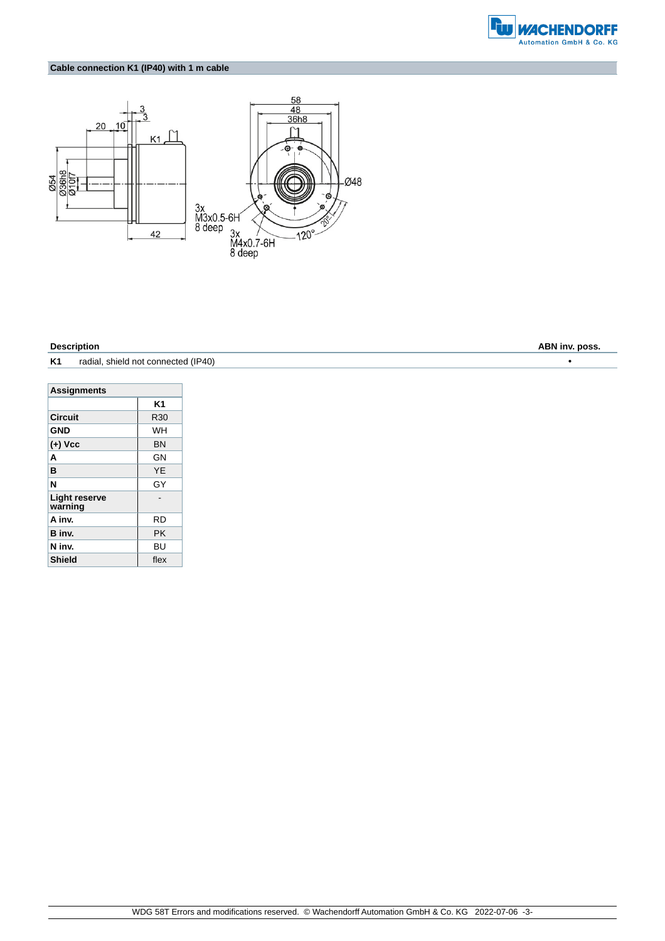

### **Cable connection K1 (IP40) with 1 m cable**



**K1** radial, shield not connected (IP40) •

| <b>Assignments</b>              |           |  |  |  |  |
|---------------------------------|-----------|--|--|--|--|
|                                 | K1        |  |  |  |  |
| Circuit                         | R30       |  |  |  |  |
| <b>GND</b>                      | WH        |  |  |  |  |
| $(+)$ Vcc                       | <b>BN</b> |  |  |  |  |
| A                               | GN        |  |  |  |  |
| в                               | YF        |  |  |  |  |
| N                               | GY        |  |  |  |  |
| <b>Light reserve</b><br>warning |           |  |  |  |  |
| A inv.                          | RD        |  |  |  |  |
| B inv.                          | РK        |  |  |  |  |
| N inv.                          | BU        |  |  |  |  |
| <b>Shield</b>                   | flex      |  |  |  |  |

**Description ABN inv. poss.**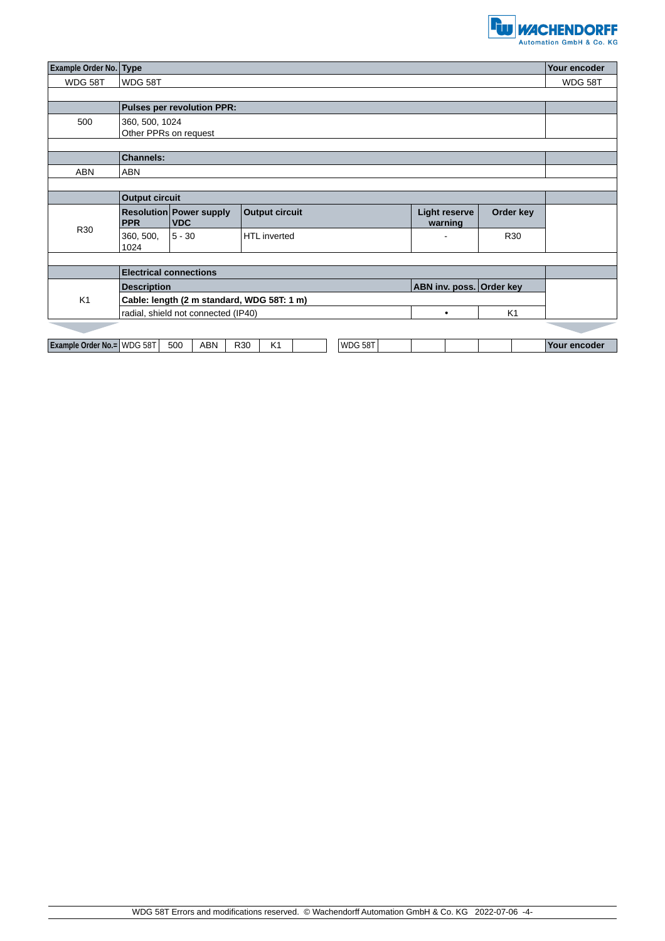

| <b>Example Order No. Type</b> | Your encoder                                   |                                       |                       |           |                                 |           |              |  |
|-------------------------------|------------------------------------------------|---------------------------------------|-----------------------|-----------|---------------------------------|-----------|--------------|--|
| WDG 58T                       | WDG 58T                                        |                                       |                       |           |                                 |           | WDG 58T      |  |
|                               |                                                |                                       |                       |           |                                 |           |              |  |
|                               | <b>Pulses per revolution PPR:</b>              |                                       |                       |           |                                 |           |              |  |
| 500                           | 360, 500, 1024<br>Other PPRs on request        |                                       |                       |           |                                 |           |              |  |
|                               |                                                |                                       |                       |           |                                 |           |              |  |
|                               | <b>Channels:</b>                               |                                       |                       |           |                                 |           |              |  |
| <b>ABN</b>                    | <b>ABN</b>                                     |                                       |                       |           |                                 |           |              |  |
|                               |                                                |                                       |                       |           |                                 |           |              |  |
|                               | <b>Output circuit</b>                          |                                       |                       |           |                                 |           |              |  |
| R30                           | <b>PPR</b>                                     | Resolution Power supply<br><b>VDC</b> | <b>Output circuit</b> |           | <b>Light reserve</b><br>warning | Order key |              |  |
|                               | 360, 500,<br>1024                              | $5 - 30$                              | <b>HTL</b> inverted   |           |                                 | R30       |              |  |
|                               |                                                |                                       |                       |           |                                 |           |              |  |
|                               | <b>Electrical connections</b>                  |                                       |                       |           |                                 |           |              |  |
| K1                            | ABN inv. poss. Order key<br><b>Description</b> |                                       |                       |           |                                 |           |              |  |
|                               | Cable: length (2 m standard, WDG 58T: 1 m)     |                                       |                       |           |                                 |           |              |  |
|                               | radial, shield not connected (IP40)            |                                       |                       | $\bullet$ | K1                              |           |              |  |
|                               |                                                |                                       |                       |           |                                 |           |              |  |
| Example Order No.= WDG 58T    |                                                | <b>ABN</b><br>500                     | R30<br>K <sub>1</sub> | WDG 58T   |                                 |           | Your encoder |  |